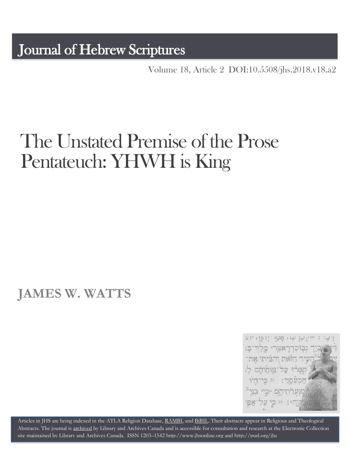Volume 18, Article 2 [DOI:10.5508/jhs.2018.v18.a2](http://dx.doi.org/10.5508/jhs.2018.v18.a2)

# The Unstated Premise of the Prose Pentateuch: YHWH is King

# **JAMES W. WATTS**



Articles in JHS are being indexed in the ATLA Religion Database, [RAMBI,](http://jnul.huji.ac.il/rambi/) an[d BiBIL.](http://bibil.net/) Their abstracts appear in Religious and Theological Abstracts. The journal is [archived](http://epe.lac-bac.gc.ca/100/201/300/journal_hebrew/index.html) by Library and Archives Canada and is accessible for consultation and research at the Electronic Collection site maintained b[y Library and Archives Canada.](http://collectionscanada.ca/electroniccollection/003008-200-e.html) ISSN 1203–154[2 http://www.jhsonline.org](http://www.jhsonline.org/) and<http://purl.org/jhs>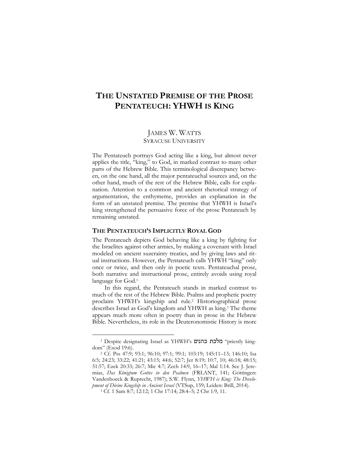## **THE UNSTATED PREMISE OF THE PROSE PENTATEUCH: YHWH IS KING**

### JAMES W. WATTS SYRACUSE UNIVERSITY

The Pentateuch portrays God acting like a king, but almost never applies the title, "king," to God, in marked contrast to many other parts of the Hebrew Bible. This terminological discrepancy between, on the one hand, all the major pentateuchal sources and, on the other hand, much of the rest of the Hebrew Bible, calls for explanation. Attention to a common and ancient rhetorical strategy of argumentation, the enthymeme, provides an explanation in the form of an unstated premise. The premise that YHWH is Israel's king strengthened the persuasive force of the prose Pentateuch by remaining unstated.

#### **THE PENTATEUCH'S IMPLICITLY ROYAL GOD**

The Pentateuch depicts God behaving like a king by fighting for the Israelites against other armies, by making a covenant with Israel modeled on ancient suzerainty treaties, and by giving laws and ritual instructions. However, the Pentateuch calls YHWH "king" only once or twice, and then only in poetic texts. Pentateuchal prose, both narrative and instructional prose, entirely avoids using royal language for God.<sup>1</sup>

In this regard, the Pentateuch stands in marked contrast to much of the rest of the Hebrew Bible. Psalms and prophetic poetry proclaim YHWH's kingship and rule.<sup>2</sup> Historiographical prose describes Israel as God's kingdom and YHWH as king.<sup>3</sup> The theme appears much more often in poetry than in prose in the Hebrew Bible. Nevertheless, its role in the Deuteronomistic History is more

<sup>1</sup> Despite designating Israel as YHWH's מלכת כהנים "priestly kingdom" (Exod 19:6).

<sup>2</sup> Cf. Pss 47:9; 93:1; 96:10; 97:1; 99:1; 103:19; 145:11–13; 146:10; Isa 6:5; 24:23; 33:22; 41:21; 43:15; 44:6; 52:7; Jer 8:19; 10:7, 10; 46:18; 48:15; 51:57; Ezek 20:33; 26:7; Mic 4:7; Zech 14:9, 16–17; Mal 1:14. See J. Jeremias, *Das Königtum Gottes in den Psalmen* (FRLANT, 141; Göttingen: Vandenhoeck & Ruprecht, 1987); S.W. Flynn, *YHWH is King: The Development of Divine Kingship in Ancient Israel* (VTSup, 159; Leiden: Brill, 2014). <sup>3</sup> Cf. 1 Sam 8:7; 12:12; 1 Chr 17:14; 28:4–5; 2 Chr 1:9, 11.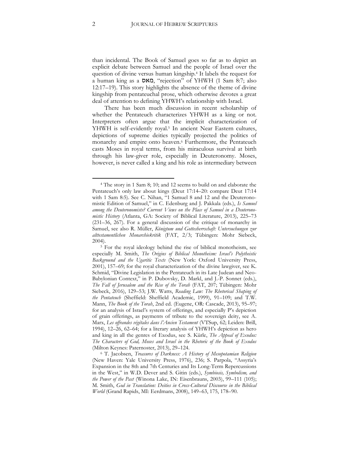than incidental. The Book of Samuel goes so far as to depict an explicit debate between Samuel and the people of Israel over the question of divine versus human kingship.<sup>4</sup> It labels the request for a human king as a מאס," rejection" of YHWH (1 Sam 8:7; also 12:17–19). This story highlights the absence of the theme of divine kingship from pentateuchal prose, which otherwise devotes a great deal of attention to defining YHWH's relationship with Israel.

There has been much discussion in recent scholarship of whether the Pentateuch characterizes YHWH as a king or not. Interpreters often argue that the implicit characterization of YHWH is self-evidently royal.<sup>5</sup> In ancient Near Eastern cultures, depictions of supreme deities typically projected the politics of monarchy and empire onto heaven.<sup>6</sup> Furthermore, the Pentateuch casts Moses in royal terms, from his miraculous survival at birth through his law-giver role, especially in Deuteronomy. Moses, however, is never called a king and his role as intermediary between

<sup>4</sup> The story in 1 Sam 8; 10; and 12 seems to build on and elaborate the Pentateuch's only law about kings (Deut 17:14–20: compare Deut 17:14 with 1 Sam 8:5). See C. Nihan, "1 Samuel 8 and 12 and the Deuteronomistic Edition of Samuel," in C. Edenburg and J. Pakkala (eds.), *Is Samuel among the Deuteronomists? Current Views on the Place of Samuel in a Deuteronomistic History* (Atlanta, GA: Society of Biblical Literature, 2013), 225–73 (231–36, 267). For a general discussion of the critique of monarchy in Samuel, see also R. Müller, *Königtum und Gottesherrschaft: Untersuchungen zur alttestamentlichen Monarchiekritik* (FAT, 2/3; Tübingen: Mohr Siebeck, 2004).

<sup>&</sup>lt;sup>5</sup> For the royal ideology behind the rise of biblical monotheism, see especially M. Smith, *The Origins of Biblical Monotheism: Israel's Polytheistic Background and the Ugaritic Texts* (New York: Oxford University Press, 2001), 157–69; for the royal characterization of the divine lawgiver, see K. Schmid, "Divine Legislation in the Pentateuch in its Late Judean and Neo-Babylonian Context," in P. Dubovsky, D. Markl, and J.-P. Sonnet (eds.), *The Fall of Jerusalem and the Rise of the Torah* (FAT, 207; Tübingen: Mohr Siebeck, 2016), 129–53; J.W. Watts, *Reading Law: The Rhetorical Shaping of the Pentateuch* (Sheffield: Sheffield Academic, 1999), 91–109; and T.W. Mann, *The Book of the Torah*, 2nd ed. (Eugene, OR: Cascade, 2013), 95–97; for an analysis of Israel's system of offerings, and especially P's depiction of grain offerings, as payments of tribute to the sovereign deity, see A. Marx, *Les offrandes végétales dans l'Ancien Testament* (VTSup, 62; Leiden: Brill, 1994), 12–26, 62–64; for a literary analysis of YHWH's depiction as hero and king in all the genres of Exodus, see S. Kürle, *The Appeal of Exodus: The Characters of God, Moses and Israel in the Rhetoric of the Book of Exodus*  (Milton Keynes: Paternoster, 2013), 29–124.

<sup>6</sup> T. Jacobsen, *Treasures of Darkness: A History of Mesopotamian Religion* (New Haven: Yale University Press, 1976), 236; S. Parpola, "Assyria's Expansion in the 8th and 7th Centuries and Its Long-Term Repercussions in the West," in W.D. Dever and S. Gitin (eds.), *Symbiosis, Symbolism, and the Power of the Past* (Winona Lake, IN: Eisenbrauns, 2003), 99–111 (105); M. Smith, *God in Translation: Deities in Cross-Cultural Discourse in the Biblical World* (Grand Rapids, MI: Eerdmans, 2008), 149–63, 175, 178–90.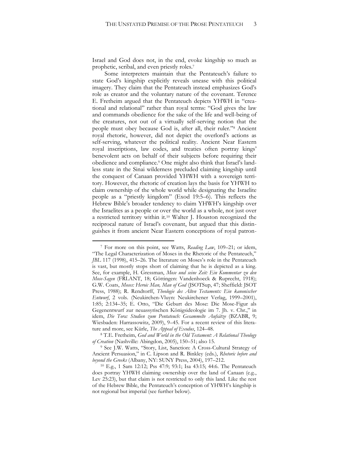Israel and God does not, in the end, evoke kingship so much as prophetic, scribal, and even priestly roles.<sup>7</sup>

Some interpreters maintain that the Pentateuch's failure to state God's kingship explicitly reveals unease with this political imagery. They claim that the Pentateuch instead emphasizes God's role as creator and the voluntary nature of the covenant. Terence E. Fretheim argued that the Pentateuch depicts YHWH in "creational and relational" rather than royal terms: "God gives the law and commands obedience for the sake of the life and well-being of the creatures, not out of a virtually self-serving notion that the people must obey because God is, after all, their ruler."<sup>8</sup> Ancient royal rhetoric, however, did not depict the overlord's actions as self-serving, whatever the political reality. Ancient Near Eastern royal inscriptions, law codes, and treaties often portray kings' benevolent acts on behalf of their subjects before requiring their obedience and compliance.<sup>9</sup> One might also think that Israel's landless state in the Sinai wilderness precluded claiming kingship until the conquest of Canaan provided YHWH with a sovereign territory. However, the rhetoric of creation lays the basis for YHWH to claim ownership of the whole world while designating the Israelite people as a "priestly kingdom" (Exod 19:5–6). This reflects the Hebrew Bible's broader tendency to claim YHWH's kingship over the Israelites as a people or over the world as a whole, not just over a restricted territory within it.<sup>10</sup> Walter J. Houston recognized the reciprocal nature of Israel's covenant, but argued that this distinguishes it from ancient Near Eastern conceptions of royal patron-

<sup>7</sup> For more on this point, see Watts, *Reading Law*, 109–21; or idem, "The Legal Characterization of Moses in the Rhetoric of the Pentateuch," *JBL* 117 (1998), 415–26. The literature on Moses's role in the Pentateuch is vast, but mostly stops short of claiming that he is depicted as a king. See, for example, H. Gressman, *Mose und seine Zeit: Ein Kommentar zu den Mose-Sagen* (FRLANT, 18; Göttingen: Vandenhoeck & Ruprecht, 1918); G.W. Coats, *Moses: Heroic Man, Man of God* (JSOTSup, 47; Sheffield: JSOT Press, 1988); R. Rendtorff, *Theologie des Alten Testaments: Ein kanonischer Entwurf*, 2 vols. (Neukirchen-Vluyn: Neukirchener Verlag, 1999–2001), 1:85; 2:134–35; E. Otto, "Die Geburt des Mose: Die Mose-Figur als Gegenentwurf zur neuassyrischen Königsideologie im 7. Jh. v. Chr.," in idem, *Die Tora: Studien zum Pentateuch: Gesammelte Aufsätze* (BZABR, 9; Wiesbaden: Harrassowitz, 2009), 9–45. For a recent review of this literature and more, see Kürle, *The Appeal of Exodus*, 124–48.

<sup>8</sup> T.E. Fretheim, *God and World in the Old Testament: A Relational Theology of Creation* (Nashville: Abingdon, 2005), 150–51; also 15.

<sup>9</sup> See J.W. Watts, "Story, List, Sanction: A Cross-Cultural Strategy of Ancient Persuasion," in C. Lipson and R. Binkley (eds.), *Rhetoric before and beyond the Greeks* (Albany, NY: SUNY Press, 2004), 197–212.

<sup>10</sup> E.g., 1 Sam 12:12; Pss 47:9; 93:1; Isa 43:15; 44:6. The Pentateuch does portray YHWH claiming ownership over the land of Canaan (e.g., Lev 25:23), but that claim is not restricted to only this land. Like the rest of the Hebrew Bible, the Pentateuch's conception of YHWH's kingship is not regional but imperial (see further below).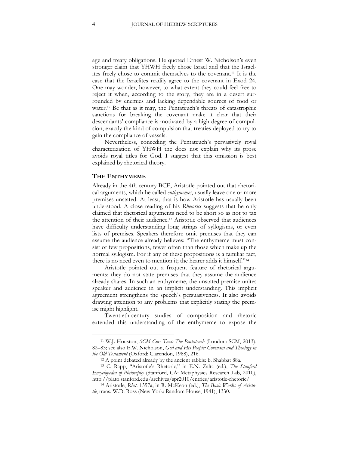age and treaty obligations. He quoted Ernest W. Nicholson's even stronger claim that YHWH freely chose Israel and that the Israelites freely chose to commit themselves to the covenant.<sup>11</sup> It is the case that the Israelites readily agree to the covenant in Exod 24. One may wonder, however, to what extent they could feel free to reject it when, according to the story, they are in a desert surrounded by enemies and lacking dependable sources of food or water.<sup>12</sup> Be that as it may, the Pentateuch's threats of catastrophic sanctions for breaking the covenant make it clear that their descendants' compliance is motivated by a high degree of compulsion, exactly the kind of compulsion that treaties deployed to try to gain the compliance of vassals.

Nevertheless, conceding the Pentateuch's pervasively royal characterization of YHWH the does not explain why its prose avoids royal titles for God. I suggest that this omission is best explained by rhetorical theory.

#### **THE ENTHYMEME**

 $\overline{a}$ 

Already in the 4th century BCE, Aristotle pointed out that rhetorical arguments, which he called *enthymemes*, usually leave one or more premises unstated. At least, that is how Aristotle has usually been understood. A close reading of his *Rhetorics* suggests that he only claimed that rhetorical arguments need to be short so as not to tax the attention of their audience.<sup>13</sup> Aristotle observed that audiences have difficulty understanding long strings of syllogisms, or even lists of premises. Speakers therefore omit premises that they can assume the audience already believes: "The enthymeme must consist of few propositions, fewer often than those which make up the normal syllogism. For if any of these propositions is a familiar fact, there is no need even to mention it; the hearer adds it himself."<sup>14</sup>

Aristotle pointed out a frequent feature of rhetorical arguments: they do not state premises that they assume the audience already shares. In such an enthymeme, the unstated premise unites speaker and audience in an implicit understanding. This implicit agreement strengthens the speech's persuasiveness. It also avoids drawing attention to any problems that explicitly stating the premise might highlight.

Twentieth-century studies of composition and rhetoric extended this understanding of the enthymeme to expose the

<sup>11</sup> W.J. Houston, *SCM Core Text: The Pentateuch* (London: SCM, 2013), 82–83; see also E.W. Nicholson, *God and His People: Covenant and Theology in the Old Testament* (Oxford: Clarendon, 1988), 216.

<sup>12</sup> A point debated already by the ancient rabbis: b. Shabbat 88a.

<sup>13</sup> C. Rapp, "Aristotle's Rhetoric," in E.N. Zalta (ed.), *The Stanford Encyclopedia of Philosophy* (Stanford, CA: Metaphysics Research Lab, 2010), [http://plato.stanford.edu/archives/spr2010/entries/aristotle-rhetoric/.](http://plato.stanford.edu/archives/spr2010/entries/aristotle-rhetoric/)

<sup>14</sup> Aristotle, *Rhet*. 1357a; in R. McKeon (ed.), *The Basic Works of Aristotle*, trans. W.D. Ross (New York: Random House, 1941), 1330.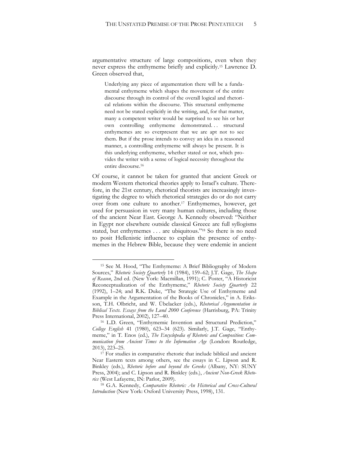argumentative structure of large compositions, even when they never express the enthymeme briefly and explicitly.<sup>15</sup> Lawrence D. Green observed that,

Underlying any piece of argumentation there will be a fundamental enthymeme which shapes the movement of the entire discourse through its control of the overall logical and rhetorical relations within the discourse. This structural enthymeme need not be stated explicitly in the writing, and, for that matter, many a competent writer would be surprised to see his or her own controlling enthymeme demonstrated. . . structural enthymemes are so everpresent that we are apt not to see them. But if the prose intends to convey an idea in a reasoned manner, a controlling enthymeme will always be present. It is this underlying enthymeme, whether stated or not, which provides the writer with a sense of logical necessity throughout the entire discourse.<sup>16</sup>

Of course, it cannot be taken for granted that ancient Greek or modern Western rhetorical theories apply to Israel's culture. Therefore, in the 21st century, rhetorical theorists are increasingly investigating the degree to which rhetorical strategies do or do not carry over from one culture to another.<sup>17</sup> Enthymemes, however, get used for persuasion in very many human cultures, including those of the ancient Near East. George A. Kennedy observed: "Neither in Egypt nor elsewhere outside classical Greece are full syllogisms stated, but enthymemes . . . are ubiquitous."<sup>18</sup> So there is no need to posit Hellenistic influence to explain the presence of enthymemes in the Hebrew Bible, because they were endemic in ancient

<sup>15</sup> See M. Hood, "The Enthymeme: A Brief Bibliography of Modern Sources," *Rhetoric Society Quarterly* 14 (1984), 159–62; J.T. Gage, *The Shape of Reason*, 2nd ed. (New York: Macmillan, 1991); C. Poster, "A Historicist Reconceptualization of the Enthymeme," *Rhetoric Society Quarterly* 22 (1992), 1–24; and R.K. Duke, "The Strategic Use of Enthymeme and Example in the Argumentation of the Books of Chronicles," in A. Eriksson, T.H. Olbricht, and W. Übelacker (eds.), *Rhetorical Argumentation in Biblical Texts. Essays from the Lund 2000 Conference* (Harrisburg, PA: Trinity Press International, 2002), 127–40.

<sup>16</sup> L.D. Green, "Enthymemic Invention and Structural Prediction," *College English* 41 (1980), 623–34 (623). Similarly, J.T. Gage, "Enthymeme," in T. Enos (ed.), *The Encyclopedia of Rhetoric and Composition: Communication from Ancient Times to the Information Age* (London: Routledge, 2013), 223–25.

<sup>&</sup>lt;sup>17</sup> For studies in comparative rhetoric that include biblical and ancient Near Eastern texts among others, see the essays in C. Lipson and R. Binkley (eds.), *Rhetoric before and beyond the Greeks* (Albany, NY: SUNY Press, 2004); and C. Lipson and R. Binkley (eds.), *Ancient Non-Greek Rhetorics* (West Lafayette, IN: Parlor, 2009).

<sup>18</sup> G.A. Kennedy, *Comparative Rhetoric: An Historical and Cross-Cultural Introduction* (New York: Oxford University Press, 1998), 131.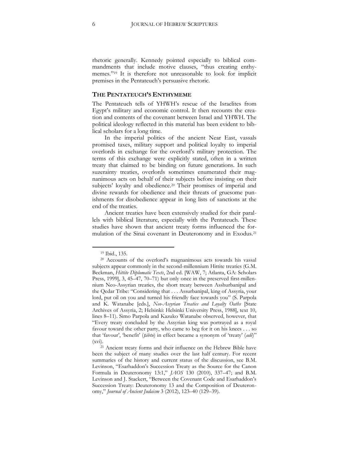rhetoric generally. Kennedy pointed especially to biblical commandments that include motive clauses, "thus creating enthymemes."<sup>19</sup> It is therefore not unreasonable to look for implicit premises in the Pentateuch's persuasive rhetoric.

#### **THE PENTATEUCH'S ENTHYMEME**

The Pentateuch tells of YHWH's rescue of the Israelites from Egypt's military and economic control. It then recounts the creation and contents of the covenant between Israel and YHWH. The political ideology reflected in this material has been evident to biblical scholars for a long time.

In the imperial politics of the ancient Near East, vassals promised taxes, military support and political loyalty to imperial overlords in exchange for the overlord's military protection. The terms of this exchange were explicitly stated, often in a written treaty that claimed to be binding on future generations. In such suzerainty treaties, overlords sometimes enumerated their magnanimous acts on behalf of their subjects before insisting on their subjects' loyalty and obedience.<sup>20</sup> Their promises of imperial and divine rewards for obedience and their threats of gruesome punishments for disobedience appear in long lists of sanctions at the end of the treaties.

Ancient treaties have been extensively studied for their parallels with biblical literature, especially with the Pentateuch. These studies have shown that ancient treaty forms influenced the formulation of the Sinai covenant in Deuteronomy and in Exodus.<sup>21</sup>

<sup>19</sup> Ibid., 135.

<sup>20</sup> Accounts of the overlord's magnanimous acts towards his vassal subjects appear commonly in the second-millennium Hittite treaties (G.M. Beckman, *Hittite Diplomatic Texts*, 2nd ed. [WAW, 7; Atlanta, GA: Scholars Press, 1999], 3, 45–47, 70–71) but only once in the preserved first-millennium Neo-Assyrian treaties, the short treaty between Asshurbanipal and the Qedar Tribe: "Considering that . . . Assurbanipal, king of Assyria, your lord, put oil on you and turned his friendly face towards you" (S. Parpola and K. Watanabe [eds.], *Neo-Assyrian Treaties and Loyalty Oaths* [State Archives of Assyria, 2; Helsinki: Helsinki University Press, 1988], text 10, lines 8–11). Simo Parpola and Kazuko Watanabe observed, however, that "Every treaty concluded by the Assyrian king was portrayed as a royal favour toward the other party, who came to beg for it on his knees . . . so that 'favour', 'benefit' (ṭ*ābtu*) in effect became a synonym of 'treaty' (*adê*)" (xvi).

<sup>21</sup> Ancient treaty forms and their influence on the Hebrew Bible have been the subject of many studies over the last half century. For recent summaries of the history and current status of the discussion, see B.M. Levinson, "Esarhaddon's Succession Treaty as the Source for the Canon Formula in Deuteronomy 13:1," *JAOS* 130 (2010), 337–47; and B.M. Levinson and J. Stackert, "Between the Covenant Code and Esarhaddon's Succession Treaty: Deuteronomy 13 and the Composition of Deuteronomy," *Journal of Ancient Judaism* 3 (2012), 123–40 (129–39).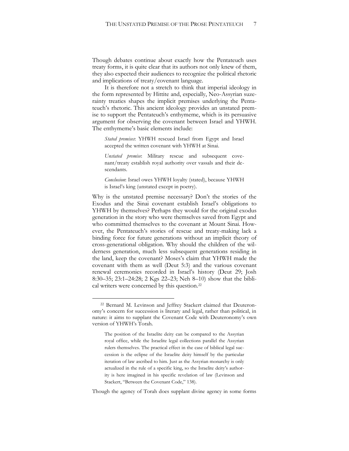Though debates continue about exactly how the Pentateuch uses treaty forms, it is quite clear that its authors not only knew of them, they also expected their audiences to recognize the political rhetoric and implications of treaty/covenant language.

It is therefore not a stretch to think that imperial ideology in the form represented by Hittite and, especially, Neo-Assyrian suzerainty treaties shapes the implicit premises underlying the Pentateuch's rhetoric. This ancient ideology provides an unstated premise to support the Pentateuch's enthymeme, which is its persuasive argument for observing the covenant between Israel and YHWH. The enthymeme's basic elements include:

*Stated premises*: YHWH rescued Israel from Egypt and Israel accepted the written covenant with YHWH at Sinai.

*Unstated premise*: Military rescue and subsequent covenant/treaty establish royal authority over vassals and their descendants.

*Conclusion*: Israel owes YHWH loyalty (stated), because YHWH is Israel's king (unstated except in poetry).

Why is the unstated premise necessary? Don't the stories of the Exodus and the Sinai covenant establish Israel's obligations to YHWH by themselves? Perhaps they would for the original exodus generation in the story who were themselves saved from Egypt and who committed themselves to the covenant at Mount Sinai. However, the Pentateuch's stories of rescue and treaty-making lack a binding force for future generations without an implicit theory of cross-generational obligation. Why should the children of the wilderness generation, much less subsequent generations residing in the land, keep the covenant? Moses's claim that YHWH made the covenant with them as well (Deut 5:3) and the various covenant renewal ceremonies recorded in Israel's history (Deut 29; Josh 8:30–35; 23:1–24:28; 2 Kgs 22–23; Neh 8–10) show that the biblical writers were concerned by this question.<sup>22</sup>

 $\overline{a}$ 

Though the agency of Torah does supplant divine agency in some forms

<sup>22</sup> Bernard M. Levinson and Jeffrey Stackert claimed that Deuteronomy's concern for succession is literary and legal, rather than political, in nature: it aims to supplant the Covenant Code with Deuteronomy's own version of YHWH's Torah.

The position of the Israelite deity can be compared to the Assyrian royal office, while the Israelite legal collections parallel the Assyrian rulers themselves. The practical effect in the case of biblical legal succession is the eclipse of the Israelite deity himself by the particular iteration of law ascribed to him. Just as the Assyrian monarchy is only actualized in the rule of a specific king, so the Israelite deity's authority is here imagined in his specific revelation of law (Levinson and Stackert, "Between the Covenant Code," 138).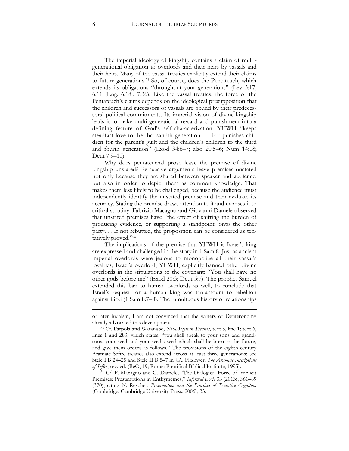The imperial ideology of kingship contains a claim of multigenerational obligation to overlords and their heirs by vassals and their heirs. Many of the vassal treaties explicitly extend their claims to future generations.<sup>23</sup> So, of course, does the Pentateuch, which extends its obligations "throughout your generations" (Lev 3:17; 6:11 [Eng. 6:18]; 7:36). Like the vassal treaties, the force of the Pentateuch's claims depends on the ideological presupposition that the children and successors of vassals are bound by their predecessors' political commitments. Its imperial vision of divine kingship leads it to make multi-generational reward and punishment into a defining feature of God's self-characterization: YHWH "keeps steadfast love to the thousandth generation . . . but punishes children for the parent's guilt and the children's children to the third and fourth generation" (Exod 34:6–7; also 20:5–6; Num 14:18; Deut 7:9–10).

Why does pentateuchal prose leave the premise of divine kingship unstated? Persuasive arguments leave premises unstated not only because they are shared between speaker and audience, but also in order to depict them as common knowledge. That makes them less likely to be challenged, because the audience must independently identify the unstated premise and then evaluate its accuracy. Stating the premise draws attention to it and exposes it to critical scrutiny. Fabrizio Macagno and Giovanni Damele observed that unstated premises have "the effect of shifting the burden of producing evidence, or supporting a standpoint, onto the other party. . . If not rebutted, the proposition can be considered as tentatively proved."<sup>24</sup>

The implications of the premise that YHWH is Israel's king are expressed and challenged in the story in 1 Sam 8. Just as ancient imperial overlords were jealous to monopolize all their vassal's loyalties, Israel's overlord, YHWH, explicitly banned other divine overlords in the stipulations to the covenant: "You shall have no other gods before me" (Exod 20:3; Deut 5:7). The prophet Samuel extended this ban to human overlords as well, to conclude that Israel's request for a human king was tantamount to rebellion against God (1 Sam 8:7–8). The tumultuous history of relationships

**.** 

of later Judaism, I am not convinced that the writers of Deuteronomy already advocated this development.

<sup>23</sup> Cf. Parpola and Watanabe, *Neo-Assyrian Treaties*, text 5, line 1; text 6, lines 1 and 283, which states: "you shall speak to your sons and grandsons, your seed and your seed's seed which shall be born in the future, and give them orders as follows." The provisions of the eighth-century Aramaic Sefire treaties also extend across at least three generations: see Stele I B 24–25 and Stele II B 5–7 in J.A. Fitzmyer, *The Aramaic Inscriptions of Sefîre*, rev. ed. (BeO, 19; Rome: Pontifical Biblical Institute, 1995).

<sup>24</sup> Cf. F. Macagno and G. Damele, "The Dialogical Force of Implicit Premises: Presumptions in Enthymemes," *Informal Logic* 33 (2013), 361–89 (370), citing N. Rescher, *Presumption and the Practices of Tentative Cognition* (Cambridge: Cambridge University Press, 2006), 33.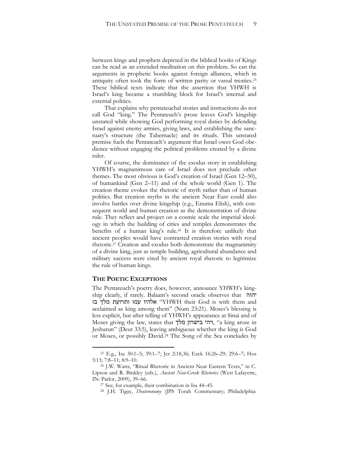between kings and prophets depicted in the biblical books of Kings can be read as an extended meditation on this problem. So can the arguments in prophetic books against foreign alliances, which in antiquity often took the form of written parity or vassal treaties.<sup>25</sup> These biblical texts indicate that the assertion that YHWH is Israel's king became a stumbling block for Israel's internal and external politics.

That explains why pentateuchal stories and instructions do not call God "king." The Pentateuch's prose leaves God's kingship unstated while showing God performing royal duties by defending Israel against enemy armies, giving laws, and establishing the sanctuary's structure (the Tabernacle) and its rituals. This unstated premise fuels the Pentateuch's argument that Israel owes God obedience without engaging the political problems created by a divine ruler.

Of course, the dominance of the exodus story in establishing YHWH's magnanimous care of Israel does not preclude other themes. The most obvious is God's creation of Israel (Gen 12–50), of humankind (Gen 2–11) and of the whole world (Gen 1). The creation theme evokes the rhetoric of myth rather than of human politics. But creation myths in the ancient Near East could also involve battles over divine kingship (e.g., Enuma Elish), with consequent world and human creation as the demonstration of divine rule. They reflect and project on a cosmic scale the imperial ideology in which the building of cities and temples demonstrates the benefits of a human king's rule.<sup>26</sup> It is therefore unlikely that ancient peoples would have contrasted creation stories with royal rhetoric.<sup>27</sup> Creation and exodus both demonstrate the magnanimity of a divine king, just as temple building, agricultural abundance and military success were cited by ancient royal rhetoric to legitimize the rule of human kings.

#### **THE POETIC EXCEPTIONS**

 $\overline{a}$ 

The Pentateuch's poetry does, however, announce YHWH's kingship clearly, if rarely. Balaam's second oracle observes that יהוה בו מלך ותרועת עמו אלהיו" YHWH their God is with them and acclaimed as king among them" (Num 23:21). Moses's blessing is less explicit, but after telling of YHWH's appearance at Sinai and of Moses giving the law, states that ויהי בישרון ויהי בישרון, "a king arose in Jeshurun" (Deut 33:5), leaving ambiguous whether the king is God or Moses, or possibly David.<sup>28</sup> The Song of the Sea concludes by

<sup>25</sup> E.g., Isa 30:1–5; 39:1–7; Jer 2:18,36; Ezek 16:26–29; 29:6–7; Hos 5:13; 7:8–11; 8:9–10.

<sup>26</sup> J.W. Watts, "Ritual Rhetoric in Ancient Near Eastern Texts," in C. Lipson and R. Binkley (eds.), *Ancient Non-Greek Rhetorics* (West Lafayette, IN: Parlor, 2009), 39–66.

<sup>27</sup> See, for example, their combination in Isa 44–45.

<sup>28</sup> J.H. Tigay, *Deuteronomy* (JPS Torah Commentary; Philadelphia: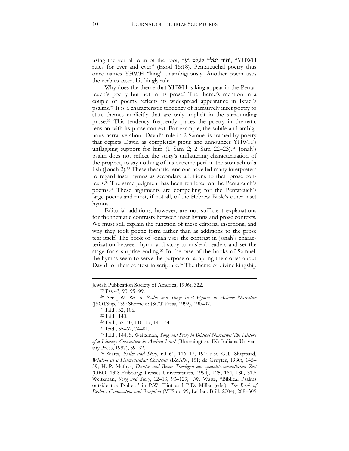using the verbal form of the root, יהוה ימלך לעלם ועד, "YHWH rules for ever and ever" (Exod 15:18). Pentateuchal poetry thus once names YHWH "king" unambiguously. Another poem uses the verb to assert his kingly rule.

Why does the theme that YHWH is king appear in the Pentateuch's poetry but not in its prose? The theme's mention in a couple of poems reflects its widespread appearance in Israel's psalms.<sup>29</sup> It is a characteristic tendency of narratively inset poetry to state themes explicitly that are only implicit in the surrounding prose.<sup>30</sup> This tendency frequently places the poetry in thematic tension with its prose context. For example, the subtle and ambiguous narrative about David's rule in 2 Samuel is framed by poetry that depicts David as completely pious and announces YHWH's unflagging support for him (1 Sam 2; 2 Sam 22–23).<sup>31</sup> Jonah's psalm does not reflect the story's unflattering characterization of the prophet, to say nothing of his extreme peril in the stomach of a fish (Jonah 2).<sup>32</sup> These thematic tensions have led many interpreters to regard inset hymns as secondary additions to their prose contexts.<sup>33</sup> The same judgment has been rendered on the Pentateuch's poems.<sup>34</sup> These arguments are compelling for the Pentateuch's large poems and most, if not all, of the Hebrew Bible's other inset hymns.

Editorial additions, however, are not sufficient explanations for the thematic contrasts between inset hymns and prose contexts. We must still explain the function of these editorial insertions, and why they took poetic form rather than as additions to the prose text itself. The book of Jonah uses the contrast in Jonah's characterization between hymn and story to mislead readers and set the stage for a surprise ending.<sup>35</sup> In the case of the books of Samuel, the hymns seem to serve the purpose of adapting the stories about David for their context in scripture.<sup>36</sup> The theme of divine kingship

<u>.</u>

Jewish Publication Society of America, 1996), 322.

<sup>29</sup> Pss 43; 93; 95–99.

<sup>30</sup> See J.W. Watts, *Psalm and Story: Inset Hymns in Hebrew Narrative* (JSOTSup, 139: Sheffield: JSOT Press, 1992), 190–97.

<sup>31</sup> Ibid., 32, 106.

<sup>32</sup> Ibid., 140.

<sup>33</sup> Ibid., 32–40, 110–17, 141–44.

<sup>34</sup> Ibid., 55–62, 74–81.

<sup>35</sup> Ibid., 144; S. Weitzman, *Song and Story in Biblical Narrative: The History of a Literary Convention in Ancient Israel* (Bloomington, IN: Indiana University Press, 1997), 59–92.

<sup>36</sup> Watts, *Psalm and Story*, 60–61, 116–17, 191; also G.T. Sheppard, *Wisdom as a Hermeneutical Construct* (BZAW, 151; de Gruyter, 1980), 145– 59; H.-P. Mathys, *Dichter und Beter: Theologen aus spätalttestamentlichen Zeit*  (OBO, 132: Fribourg: Presses Universitaires, 1994), 125, 164, 180, 317; Weitzman, *Song and Story*, 12–13, 93–129; J.W. Watts, "Biblical Psalms outside the Psalter," in P.W. Flint and P.D. Miller (eds.), *The Book of Psalms: Composition and Reception* (VTSup, 99; Leiden: Brill, 2004), 288–309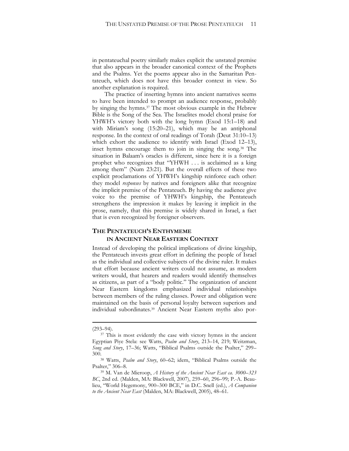in pentateuchal poetry similarly makes explicit the unstated premise that also appears in the broader canonical context of the Prophets and the Psalms. Yet the poems appear also in the Samaritan Pentateuch, which does not have this broader context in view. So another explanation is required.

The practice of inserting hymns into ancient narratives seems to have been intended to prompt an audience response, probably by singing the hymns.<sup>37</sup> The most obvious example in the Hebrew Bible is the Song of the Sea. The Israelites model choral praise for YHWH's victory both with the long hymn (Exod 15:1–18) and with Miriam's song (15:20–21), which may be an antiphonal response. In the context of oral readings of Torah (Deut 31:10–13) which exhort the audience to identify with Israel (Exod 12–13), inset hymns encourage them to join in singing the song.<sup>38</sup> The situation in Balaam's oracles is different, since here it is a foreign prophet who recognizes that "YHWH . . . is acclaimed as a king among them" (Num 23:21). But the overall effects of these two explicit proclamations of YHWH's kingship reinforce each other: they model *responses* by natives and foreigners alike that recognize the implicit premise of the Pentateuch. By having the audience give voice to the premise of YHWH's kingship, the Pentateuch strengthens the impression it makes by leaving it implicit in the prose, namely, that this premise is widely shared in Israel, a fact that is even recognized by foreigner observers.

#### **THE PENTATEUCH'S ENTHYMEME IN ANCIENT NEAR EASTERN CONTEXT**

Instead of developing the political implications of divine kingship, the Pentateuch invests great effort in defining the people of Israel as the individual and collective subjects of the divine ruler. It makes that effort because ancient writers could not assume, as modern writers would, that hearers and readers would identify themselves as citizens, as part of a "body politic." The organization of ancient Near Eastern kingdoms emphasized individual relationships between members of the ruling classes. Power and obligation were maintained on the basis of personal loyalty between superiors and individual subordinates.<sup>39</sup> Ancient Near Eastern myths also por-

**.** 

 $(293 - 94)$ .

<sup>&</sup>lt;sup>37</sup> This is most evidently the case with victory hymns in the ancient Egyptian Piye Stela: see Watts, *Psalm and Story*, 213–14, 219; Weitzman, *Song and Story*, 17–36; Watts, "Biblical Psalms outside the Psalter," 299– 300.

<sup>38</sup> Watts, *Psalm and Story*, 60–62; idem, "Biblical Psalms outside the Psalter," 306–8.

<sup>39</sup> M. Van de Mieroop, *A History of the Ancient Near East ca. 3000*–*323 BC*, 2nd ed. (Malden, MA: Blackwell, 2007), 259–60, 296–99; P.-A. Beaulieu, "World Hegemony, 900–300 BCE," in D.C. Snell (ed.), *A Companion to the Ancient Near East* (Malden, MA: Blackwell, 2005), 48–61.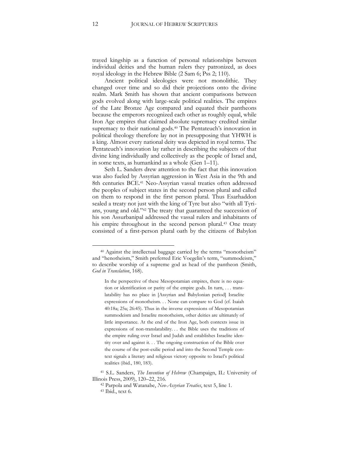trayed kingship as a function of personal relationships between individual deities and the human rulers they patronized, as does royal ideology in the Hebrew Bible (2 Sam 6; Pss 2; 110).

Ancient political ideologies were not monolithic. They changed over time and so did their projections onto the divine realm. Mark Smith has shown that ancient comparisons between gods evolved along with large-scale political realities. The empires of the Late Bronze Age compared and equated their pantheons because the emperors recognized each other as roughly equal, while Iron Age empires that claimed absolute supremacy credited similar supremacy to their national gods.<sup>40</sup> The Pentateuch's innovation in political theology therefore lay not in presupposing that YHWH is a king. Almost every national deity was depicted in royal terms. The Pentateuch's innovation lay rather in describing the subjects of that divine king individually and collectively as the people of Israel and, in some texts, as humankind as a whole (Gen 1–11).

Seth L. Sanders drew attention to the fact that this innovation was also fueled by Assyrian aggression in West Asia in the 9th and 8th centuries BCE.<sup>41</sup> Neo-Assyrian vassal treaties often addressed the peoples of subject states in the second person plural and called on them to respond in the first person plural. Thus Esarhaddon sealed a treaty not just with the king of Tyre but also "with all Tyrians, young and old."<sup>42</sup> The treaty that guaranteed the succession of his son Assurbanipal addressed the vassal rulers and inhabitants of his empire throughout in the second person plural.<sup>43</sup> One treaty consisted of a first-person plural oath by the citizens of Babylon

<sup>40</sup> Against the intellectual baggage carried by the terms "monotheism" and "henotheism," Smith preferred Eric Voegelin's term, "summodeism," to describe worship of a supreme god as head of the pantheon (Smith, *God in Translation*, 168).

In the perspective of these Mesopotamian empires, there is no equation or identification or parity of the empire gods. In turn, . . . translatability has no place in [Assyrian and Babylonian period] Israelite expressions of monotheism. . . None can compare to God (cf. Isaiah 40:18a; 25a; 26:45). Thus in the inverse expressions of Mesopotamian summodeism and Israelite monotheism, other deities are ultimately of little importance. At the end of the Iron Age, both contexts issue in expressions of non-translatability. . . the Bible uses the traditions of the empire ruling over Israel and Judah and establishes Israelite identity over and against it. . . The ongoing construction of the Bible over the course of the post-exilic period and into the Second Temple context signals a literary and religious victory opposite to Israel's political realities (ibid., 180, 183).

<sup>41</sup> S.L. Sanders, *The Invention of Hebrew* (Champaign, IL: University of Illinois Press, 2009), 120–22, 216.

<sup>42</sup> Parpola and Watanabe, *Neo-Assyrian Treaties*, text 5, line 1.

<sup>43</sup> Ibid., text 6.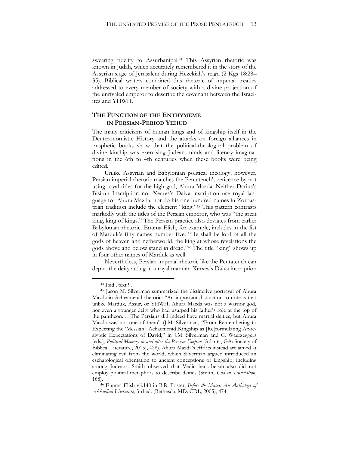swearing fidelity to Assurbanipal.<sup>44</sup> This Assyrian rhetoric was known in Judah, which accurately remembered it in the story of the Assyrian siege of Jerusalem during Hezekiah's reign (2 Kgs 18:28– 35). Biblical writers combined this rhetoric of imperial treaties addressed to every member of society with a divine projection of the unrivaled emperor to describe the covenant between the Israelites and YHWH.

#### **THE FUNCTION OF THE ENTHYMEME IN PERSIAN-PERIOD YEHUD**

The many criticisms of human kings and of kingship itself in the Deuteronomistic History and the attacks on foreign alliances in prophetic books show that the political-theological problem of divine kinship was exercising Judean minds and literary imaginations in the 6th to 4th centuries when these books were being edited.

Unlike Assyrian and Babylonian political theology, however, Persian imperial rhetoric matches the Pentateuch's reticence by not using royal titles for the high god, Ahura Mazda. Neither Darius's Bisitun Inscription nor Xerxes's Daiva inscription use royal language for Ahura Mazda, nor do his one hundred names in Zoroastrian tradition include the element "king."<sup>45</sup> This pattern contrasts markedly with the titles of the Persian emperor, who was "the great king, king of kings." The Persian practice also deviates from earlier Babylonian rhetoric. Enuma Elish, for example, includes in the list of Marduk's fifty names number five: "He shall be lord of all the gods of heaven and netherworld, the king at whose revelations the gods above and below stand in dread."<sup>46</sup> The title "king" shows up in four other names of Marduk as well.

Nevertheless, Persian imperial rhetoric like the Pentateuch can depict the deity acting in a royal manner. Xerxes's Daiva inscription

<sup>44</sup> Ibid., text 9.

<sup>45</sup> Jason M. Silverman summarized the distinctive portrayal of Ahura Mazda in Acheamenid rhetoric: "An important distinction to note is that unlike Marduk, Assur, or YHWH, Ahura Mazda was not a warrior god, nor even a younger deity who had usurped his father's role at the top of the pantheon. . . The Persians did indeed have martial deities, but Ahura Mazda was not one of them" (J.M. Silverman, "From Remembering to Expecting the 'Messiah': Achaemenid Kingship as [Re]formulating Apocalyptic Expectations of David," in J.M. Silverman and C. Waerzeggers [eds.], *Political Memory in and after the Persian Empire* [Atlanta, GA: Society of Biblical Literature, 2015], 428). Ahura Mazda's efforts instead are aimed at eliminating evil from the world, which Silverman argued introduced an eschatological orientation to ancient conceptions of kingship, including among Judeans. Smith observed that Vedic henotheism also did not employ political metaphors to describe deities (Smith, *God in Translation*, 168).

<sup>46</sup> Enuma Elish vii.140 in B.R. Foster, *Before the Muses: An Anthology of Akkadian Literature*, 3rd ed. (Bethesda, MD: CDL, 2005), 474.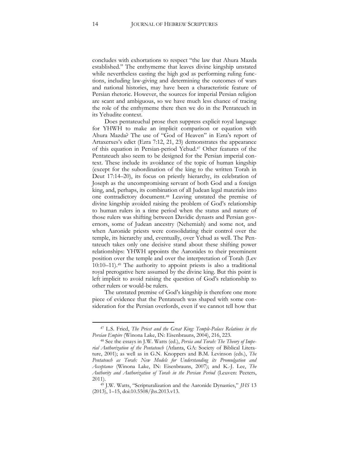concludes with exhortations to respect "the law that Ahura Mazda established." The enthymeme that leaves divine kingship unstated while nevertheless casting the high god as performing ruling functions, including law-giving and determining the outcomes of wars and national histories, may have been a characteristic feature of Persian rhetoric. However, the sources for imperial Persian religion are scant and ambiguous, so we have much less chance of tracing the role of the enthymeme there then we do in the Pentateuch in its Yehudite context.

Does pentateuchal prose then suppress explicit royal language for YHWH to make an implicit comparison or equation with Ahura Mazda? The use of "God of Heaven" in Ezra's report of Artaxerxes's edict (Ezra 7:12, 21, 23) demonstrates the appearance of this equation in Persian-period Yehud.<sup>47</sup> Other features of the Pentateuch also seem to be designed for the Persian imperial context. These include its avoidance of the topic of human kingship (except for the subordination of the king to the written Torah in Deut 17:14–20), its focus on priestly hierarchy, its celebration of Joseph as the uncompromising servant of both God and a foreign king, and, perhaps, its combination of all Judean legal materials into one contradictory document.<sup>48</sup> Leaving unstated the premise of divine kingship avoided raising the problem of God's relationship to human rulers in a time period when the status and nature of those rulers was shifting between Davidic dynasts and Persian governors, some of Judean ancestry (Nehemiah) and some not, and when Aaronide priests were consolidating their control over the temple, its hierarchy and, eventually, over Yehud as well. The Pentateuch takes only one decisive stand about these shifting power relationships: YHWH appoints the Aaronides to their preeminent position over the temple and over the interpretation of Torah (Lev 10:10–11).<sup>49</sup> The authority to appoint priests is also a traditional royal prerogative here assumed by the divine king. But this point is left implicit to avoid raising the question of God's relationship to other rulers or would-be rulers.

The unstated premise of God's kingship is therefore one more piece of evidence that the Pentateuch was shaped with some consideration for the Persian overlords, even if we cannot tell how that

<sup>47</sup> L.S. Fried, *The Priest and the Great King: Temple-Palace Relations in the Persian Empire* (Winona Lake, IN: Eisenbrauns, 2004), 216, 223.

<sup>48</sup> See the essays in J.W. Watts (ed.), *Persia and Torah: The Theory of Imperial Authorization of the Pentateuch* (Atlanta, GA: Society of Biblical Literature, 2001); as well as in G.N. Knoppers and B.M. Levinson (eds.), *The Pentateuch as Torah: New Models for Understanding its Promulgation and Acceptance* (Winona Lake, IN: Eisenbrauns, 2007); and K.-J. Lee, *The Authority and Authorization of Torah in the Persian Period* (Leuven: Peeters, 2011).

<sup>49</sup> J.W. Watts, "Scripturalization and the Aaronide Dynasties," *JHS* 13 (2013), 1–15, doi:10.5508/jhs.2013.v13.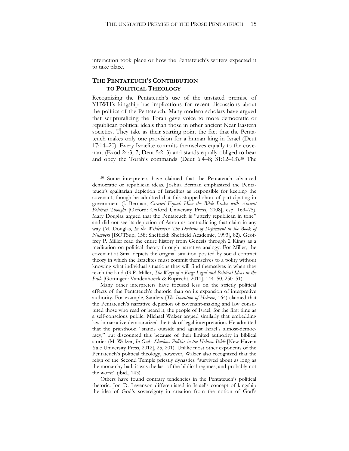interaction took place or how the Pentateuch's writers expected it to take place.

#### **THE PENTATEUCH'S CONTRIBUTION TO POLITICAL THEOLOGY**

 $\overline{a}$ 

Recognizing the Pentateuch's use of the unstated premise of YHWH's kingship has implications for recent discussions about the politics of the Pentateuch. Many modern scholars have argued that scripturalizing the Torah gave voice to more democratic or republican political ideals than those in other ancient Near Eastern societies. They take as their starting point the fact that the Pentateuch makes only one provision for a human king in Israel (Deut 17:14–20). Every Israelite commits themselves equally to the covenant (Exod 24:3, 7; Deut 5:2–3) and stands equally obliged to hear and obey the Torah's commands (Deut 6:4–8; 31:12–13).<sup>50</sup> The

Others have found contrary tendencies in the Pentateuch's political rhetoric. Jon D. Levenson differentiated in Israel's concept of kingship the idea of God's sovereignty in creation from the notion of God's

<sup>50</sup> Some interpreters have claimed that the Pentateuch advanced democratic or republican ideas. Joshua Berman emphasized the Pentateuch's egalitarian depiction of Israelites as responsible for keeping the covenant, though he admitted that this stopped short of participating in government (J. Berman, *Created Equal: How the Bible Broke with Ancient Political Thought* [Oxford: Oxford University Press, 2008], esp. 169–75). Mary Douglas argued that the Pentateuch is "utterly republican in tone" and did not see its depiction of Aaron as contradicting that claim in any way (M. Douglas, *In the Wilderness: The Doctrine of Defilement in the Book of Numbers* [JSOTSup, 158; Sheffield: Sheffield Academic, 1993], 82). Geoffrey P. Miller read the entire history from Genesis through 2 Kings as a meditation on political theory through narrative analogy. For Miller, the covenant at Sinai depicts the original situation posited by social contract theory in which the Israelites must commit themselves to a polity without knowing what individual situations they will find themselves in when they reach the land (G.P. Miller, *The Ways of a King: Legal and Political Ideas in the Bible* [Göttingen: Vandenhoeck & Ruprecht, 2011], 144–50, 250–51).

Many other interpreters have focused less on the strictly political effects of the Pentateuch's rhetoric than on its expansion of interpretive authority. For example, Sanders (*The Invention of Hebrew*, 164) claimed that the Pentateuch's narrative depiction of covenant-making and law constituted those who read or heard it, the people of Israel, for the first time as a self-conscious public. Michael Walzer argued similarly that embedding law in narrative democratized the task of legal interpretation. He admitted that the priesthood "stands outside and against Israel's almost-democracy," but discounted this because of their limited authority in biblical stories (M. Walzer, *In God's Shadow: Politics in the Hebrew Bible* [New Haven: Yale University Press, 2012], 25, 201). Unlike most other exponents of the Pentateuch's political theology, however, Walzer also recognized that the reign of the Second Temple priestly dynasties "survived about as long as the monarchy had; it was the last of the biblical regimes, and probably not the worst" (ibid., 143).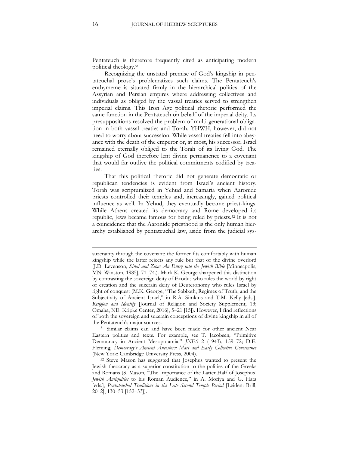Pentateuch is therefore frequently cited as anticipating modern political theology.<sup>51</sup>

Recognizing the unstated premise of God's kingship in pentateuchal prose's problematizes such claims. The Pentateuch's enthymeme is situated firmly in the hierarchical politics of the Assyrian and Persian empires where addressing collectives and individuals as obliged by the vassal treaties served to strengthen imperial claims. This Iron Age political rhetoric performed the same function in the Pentateuch on behalf of the imperial deity. Its presuppositions resolved the problem of multi-generational obligation in both vassal treaties and Torah. YHWH, however, did not need to worry about succession. While vassal treaties fell into abeyance with the death of the emperor or, at most, his successor, Israel remained eternally obliged to the Torah of its living God. The kingship of God therefore lent divine permanence to a covenant that would far outlive the political commitments codified by treaties.

That this political rhetoric did not generate democratic or republican tendencies is evident from Israel's ancient history. Torah was scripturalized in Yehud and Samaria when Aaronide priests controlled their temples and, increasingly, gained political influence as well. In Yehud, they eventually became priest-kings. While Athens created its democracy and Rome developed its republic, Jews became famous for being ruled by priests.<sup>52</sup> It is not a coincidence that the Aaronide priesthood is the only human hierarchy established by pentateuchal law, aside from the judicial sys-

**.** 

suzerainty through the covenant: the former fits comfortably with human kingship while the latter rejects any rule but that of the divine overlord (J.D. Levenson, *Sinai and Zion: An Entry into the Jewish Bible* [Minneapolis, MN: Winston, 1985], 71–74.). Mark K. George sharpened this distinction by contrasting the sovereign deity of Exodus who rules the world by right of creation and the suzerain deity of Deuteronomy who rules Israel by right of conquest (M.K. George, "The Sabbath, Regimes of Truth, and the Subjectivity of Ancient Israel," in R.A. Simkins and T.M. Kelly [eds.], *Religion and Identity* [Journal of Religion and Society Supplement, 13; Omaha, NE: Kripke Center, 2016], 5–21 [15]). However, I find reflections of both the sovereign and suzerain conceptions of divine kingship in all of the Pentateuch's major sources.

<sup>51</sup> Similar claims can and have been made for other ancient Near Eastern polities and texts. For example, see T. Jacobsen, "Primitive Democracy in Ancient Mesopotamia," *JNES* 2 (1943), 159–72; D.E. Fleming, *Democracy's Ancient Ancestors: Mari and Early Collective Governance* (New York: Cambridge University Press, 2004).

<sup>52</sup> Steve Mason has suggested that Josephus wanted to present the Jewish theocracy as a superior constitution to the polities of the Greeks and Romans (S. Mason, "The Importance of the Latter Half of Josephus' *Jewish Antiquities* to his Roman Audience," in A. Moriya and G. Hata [eds.], *Pentateuchal Traditions in the Late Second Temple Period* [Leiden: Brill, 2012], 130–53 [152–53]).